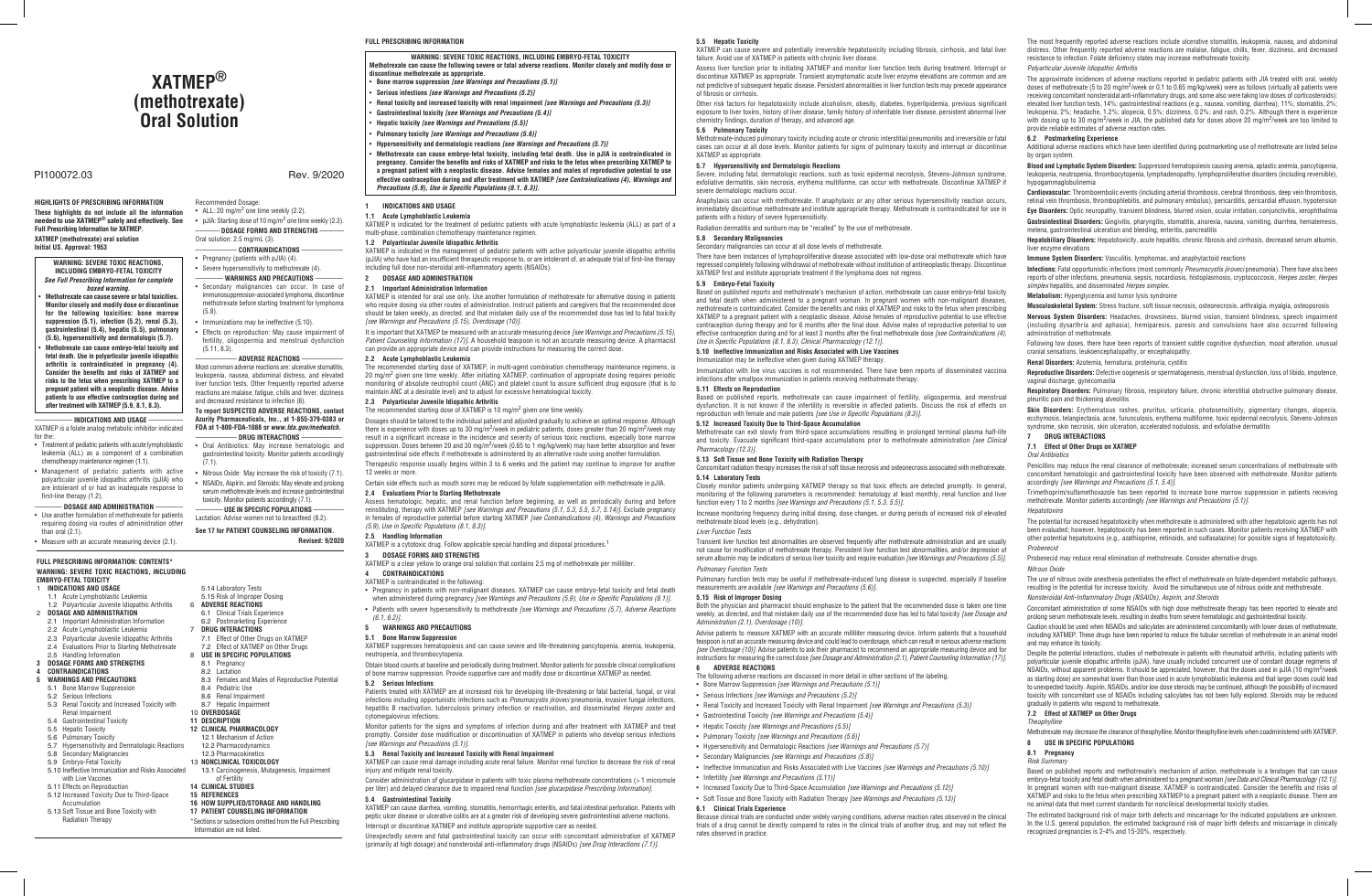## **FULL PRESCRIBING INFORMATION**

## **1.1 Acute Lymphoblastic Leukemia**

XATMEP is indicated for the treatment of pediatric patients with acute lymphoblastic leukemia (ALL) as part of a multi-phase, combination chemotherapy maintenance regimen.

#### **1.2 Polyarticular Juvenile Idiopathic Arthritis**

XATMEP is indicated in the management of pediatric patients with active polyarticular juvenile idiopathic arthritis (pJIA) who have had an insufficient therapeutic response to, or are intolerant of, an adequate trial of first-line therapy including full dose non-steroidal anti-inflammatory agents (NSAIDs).

## **2 DOSAGE AND ADMINISTRATION**

**2.1 Important Administration Information**

XATMEP is intended for oral use only. Use another formulation of methotrexate for alternative dosing in patients who require dosing via other routes of administration. Instruct patients and caregivers that the recommended dose should be taken weekly, as directed, and that mistaken daily use of the recommended dose has led to fatal toxicity *[see Warnings and Precautions (5.15), Overdosage (10)]*.

It is important that XATMEP be measured with an accurate measuring device *[see Warnings and Precautions (5.15), Patient Counseling Information (17)]*. A household teaspoon is not an accurate measuring device. A pharmacist can provide an appropriate device and can provide instructions for measuring the correct dose.

## **2.2 Acute Lymphoblastic Leukemia**

The recommended starting dose of XATMEP, in multi-agent combination chemotherapy maintenance regimens, is 20 mg/m<sup>2</sup> given one time weekly. After initiating XATMEP, continuation of appropriate dosing requires periodic monitoring of absolute neutrophil count (ANC) and platelet count to assure sufficient drug exposure (that is to maintain ANC at a desirable level) and to adjust for excessive hematological toxicity.

## **2.3 Polyarticular Juvenile Idiopathic Arthritis**

The recommended starting dose of XATMEP is 10 mg/m<sup>2</sup> given one time weekly.

Dosages should be tailored to the individual patient and adjusted gradually to achieve an optimal response. Although there is experience with doses up to 30 mg/m<sup>2</sup>/week in pediatric patients, doses greater than 20 mg/m<sup>2</sup>/week may result in a significant increase in the incidence and severity of serious toxic reactions, especially bone marrow suppression. Doses between 20 and 30 mg/m<sup>2</sup>/week (0.65 to 1 mg/kg/week) may have better absorption and fewer gastrointestinal side effects if methotrexate is administered by an alternative route using another formulation.

XATMEP can cause renal damage including acute renal failure. Monitor renal function to decrease the risk of renal injury and mitigate renal toxicity.

Therapeutic response usually begins within 3 to 6 weeks and the patient may continue to improve for another 12 weeks or more.

Certain side effects such as mouth sores may be reduced by folate supplementation with methotrexate in pJIA. **2.4 Evaluations Prior to Starting Methotrexate**

## Assess hematologic, hepatic, and renal function before beginning, as well as periodically during and before reinstituting, therapy with XATMEP *[see Warnings and Precautions (5.1, 5.3, 5.5, 5.7, 5.14)].* Exclude pregnancy<br>in females of reproductive potential before starting XATMEP *[see Contraindications (4), Warnings and Precau (5.9), Use in Specific Populations (8.1, 8.3)]*.

## **2.5 Handling Information**

XATMEP is a cytotoxic drug. Follow applicable special handling and disposal procedures.<sup>1</sup>

## **3 DOSAGE FORMS AND STRENGTHS**

XATMEP is a clear yellow to orange oral solution that contains 2.5 mg of methotrexate per milliliter.

## **4 CONTRAINDICATIONS**

• ALL: 20 mg/m<sup>2</sup> one time weekly (2.2). • pJIA: Starting dose of 10 mg/m<sup>2</sup> one time weekly (2.3). ––––––– **DOSAGE FORMS AND STRENGTHS** –––––––

- XATMEP is contraindicated in the following:
- Pregnancy in patients with non-malignant diseases. XATMEP can cause embryo-fetal toxicity and fetal death when administered during pregnancy *[see Warnings and Precautions (5.9), Use in Specific Populations (8.1)]*.
- Patients with severe hypersensitivity to methotrexate *[see Warnings and Precautions (5.7), Adverse Reactions*

## *(6.1, 6.2)]*. **5 WARNINGS AND PRECAUTIONS**

## **5.1 Bone Marrow Suppression**

XATMEP suppresses hematopoiesis and can cause severe and life-threatening pancytopenia, anemia, leukopenia, neutropenia, and thrombocytopenia.

## Obtain blood counts at baseline and periodically during treatment. Monitor patients for possible clinical complications of bone marrow suppression. Provide supportive care and modify dose or discontinue XATMEP as needed.

## **5.2 Serious Infections**

Patients treated with XATMEP are at increased risk for developing life-threatening or fatal bacterial, fungal, or viral infections including opportunistic infections such as *Pneumocystis jiroveci* pneumonia, invasive fungal infections, hepatitis B reactivation, tuberculosis primary infection or reactivation, and disseminated *Herpes zoster* and cytomegalovirus infections.

**WARNING: SEVERE TOXIC REACTIONS, INCLUDING EMBRYO-FETAL TOXICITY** Methotrexate can cause the following severe or fatal adverse reactions. Monitor closely and modify dose or

Monitor patients for the signs and symptoms of infection during and after treatment with XATMEP and treat promptly. Consider dose modification or discontinuation of XATMEP in patients who develop serious infections *[see Warnings and Precautions (5.1)]*.

- **discontinue methotrexate as appropriate.** • **Bone marrow suppression** *[see Warnings and Precautions (5.1)]*
- **Serious infections** *[see Warnings and Precautions (5.2)]*
- **Renal toxicity and increased toxicity with renal impairment** *[see Warnings and Precautions (5.3)]*
- **Gastrointestinal toxicity** *[see Warnings and Precautions (5.4)]*
- **Hepatic toxicity** *[see Warnings and Precautions (5.5)]*
- **Pulmonary toxicity** *[see Warnings and Precautions (5.6)]*
- **Hypersensitivity and dermatologic reactions** *[see Warnings and Precautions (5.7)]*
- **Methotrexate can cause embryo-fetal toxicity, including fetal death. Use in pJIA is contraindicated in pregnancy. Consider the benefits and risks of XATMEP and risks to the fetus when prescribing XATMEP to a pregnant patient with a neoplastic disease. Advise females and males of reproductive potential to use effective contraception during and after treatment with XATMEP** *[see Contraindications (4), Warnings and Precautions (5.9), Use in Specific Populations (8.1, 8.3)]***.**
- **1 INDICATIONS AND USAGE**

## **5.3 Renal Toxicity and Increased Toxicity with Renal Impairment**

Consider administration of glucarpidase in patients with toxic plasma methotrexate concentrations (> 1 micromole per liter) and delayed clearance due to impaired renal function *[see glucarpidase Prescribing Information]*.

## **5.4 Gastrointestinal Toxicity**

XATMEP can cause diarrhea, vomiting, stomatitis, hemorrhagic enteritis, and fatal intestinal perforation. Patients with peptic ulcer disease or ulcerative colitis are at a greater risk of developing severe gastrointestinal adverse reactions. Interrupt or discontinue XATMEP and institute appropriate supportive care as needed.

Unexpectedly severe and fatal gastrointestinal toxicity can occur with concomitant administration of XATMEP (primarily at high dosage) and nonsteroidal anti-inflammatory drugs (NSAIDs) *[see Drug Interactions (7.1)]*.

7.1 Effect of Other Drugs on XATMEP 7.2 Effect of XATMEP on Other Drugs **USE IN SPECIFIC POPULATIONS** 

# **XATMEP® (methotrexate) Oral Solution**

## **HIGHLIGHTS OF PRESCRIBING INFORMATION These highlights do not include all the information needed to use XATMEP® safely and effectively. See Full Prescribing Information for XATMEP. XATMEP (methotrexate) oral solution Initial US. Approval: 1953**

#### ––––––––––– **INDICATIONS AND USAGE** –––––––––– XATMEP is a folate analog metabolic inhibitor indicated

- for the: • Treatment of pediatric patients with acute lymphoblastic leukemia (ALL) as a component of a combination chemotherapy maintenance regimen (1.1).
- Management of pediatric patients with active polyarticular juvenile idiopathic arthritis (pJIA) who are intolerant of or had an inadequate response to first-line therapy (1.2).

## –––––––– **DOSAGE AND ADMINISTRATION** ––––––––

• Use another formulation of methotrexate for patients requiring dosing via routes of administration other

than oral (2.1). • Measure with an accurate measuring device (2.1). Recommended Dosage:

Oral solution: 2.5 mg/mL (3).

–––––––––––– **CONTRAINDICATIONS** –––––––––––– • Pregnancy (patients with pJIA) (4). • Severe hypersensitivity to methotrexate (4). –––––––– **WARNINGS AND PRECAUTIONS** –––––––– • Secondary malignancies can occur. In case of immunosuppression-associated lymphoma, discontinue methotrexate before starting treatment for lymphoma

(5.8).

• Immunizations may be ineffective (5.10). • Effects on reproduction: May cause impairment of fertility, oligospermia and menstrual dysfunction

(5.11, 8.3).

–––––––––––– **ADVERSE REACTIONS** –––––––––––– Most common adverse reactions are: ulcerative stomatitis, leukopenia, nausea, abdominal distress, and elevated liver function tests. Other frequently reported adverse reactions are malaise, fatigue, chills and fever, dizziness and decreased resistance to infection (6). **To report SUSPECTED ADVERSE REACTIONS, contact Azurity Pharmaceuticals, Inc., at 1-855-379-0383 or FDA at 1-800-FDA-1088 or** *www.fda.gov/medwatch.* –––––––––––– **DRUG INTERACTIONS** –––––––––––– • Oral Antibiotics: May increase hematologic and gastrointestinal toxicity. Monitor patients accordingly

(7.1).

• Nitrous Oxide: May increase the risk of toxicity (7.1). • NSAIDs, Aspirin, and Steroids: May elevate and prolong serum methotrexate levels and increase gastrointestinal toxicity. Monitor patients accordingly (7.1). –––––––– **USE IN SPECIFIC POPULATIONS** ––––––––– Lactation: Advise women not to breastfeed (8.2). **See 17 for PATIENT COUNSELING INFORMATION.**

**Revised: 9/2020**

## PI100072.03 Rev. 9/2020

#### **WARNING: SEVERE TOXIC REACTIONS, INCLUDING EMBRYO-FETAL TOXICITY**  *See Full Prescribing Information for complete boxed warning.*

• **Methotrexate can cause severe or fatal toxicities. Monitor closely and modify dose or discontinue for the following toxicities: bone marrow suppression (5.1), infection (5.2), renal (5.3), gastrointestinal (5.4), hepatic (5.5), pulmonary (5.6), hypersensitivity and dermatologic (5.7).**

• **Methotrexate can cause embryo-fetal toxicity and fetal death. Use in polyarticular juvenile idiopathic arthritis is contraindicated in pregnancy (4). Consider the benefits and risks of XATMEP and risks to the fetus when prescribing XATMEP to a pregnant patient with a neoplastic disease. Advise patients to use effective contraception during and after treatment with XATMEP (5.9, 8.1, 8.3).**

## **FULL PRESCRIBING INFORMATION: CONTENTS\* WARNING: SEVERE TOXIC REACTIONS, INCLUDING**

- **EMBRYO-FETAL TOXICITY**
- 1 **INDICATIONS AND USAGE**
- 1.1 Acute Lymphoblastic Leukemia
- 1.2 Polyarticular Juvenile Idiopathic Arthritis 2 **DOSAGE AND ADMINISTRATION**
- 2.1 Important Administration Information
- 2.2 Acute Lymphoblastic Leukemia
- 2.3 Polyarticular Juvenile Idiopathic Arthritis
- 2.4 Evaluations Prior to Starting Methotrexate 2.5 Handling Information
- **3 DOSAGE FORMS AND STRENGTHS**
- **4 CONTRAINDICATIONS**
- **5 WARNINGS AND PRECAUTIONS**
- 5.1 Bone Marrow Suppression
- 5.2 Serious Infections 5.3 Renal Toxicity and Increased Toxicity with
- Renal Impairment
- 5.4 Gastrointestinal Toxicity
- 5.5 Hepatic Toxicity
- 5.6 Pulmonary Toxicity
- 5.7 Hypersensitivity and Dermatologic Reactions
- 5.8 Secondary Malignancies
- 5.9 Embryo-Fetal Toxicity
- 5.10 Ineffective Immunization and Risks Associated with Live Vaccines
- 5.11 Effects on Reproduction
- 5.12 Increased Toxicity Due to Third-Space Accumulation
- 5.13 Soft Tissue and Bone Toxicity with Radiation Therapy

5.14 Laboratory Tests 5.15 Risk of Improper Dosing 6 **ADVERSE REACTIONS** 6.1 Clinical Trials Experience 6.2 Postmarketing Experience 7 **DRUG INTERACTIONS**

> 8.1 Pregnancy 8.2 Lactation

8.3 Females and Males of Reproductive Potential

8.4 Pediatric Use 8.6 Renal Impairment 8.7 Hepatic Impairment 10 **OVERDOSAGE 11 DESCRIPTION 12 CLINICAL PHARMACOLOGY** 12.1 Mechanism of Action 12.2 Pharmacodynamics 12.3 Pharmacokinetics 13 **NONCLINICAL TOXICOLOGY**

13.1 Carcinogenesis, Mutagenesis, Impairment

of Fertility **14 CLINICAL STUDIES 15 REFERENCES**

**16 HOW SUPPLIED/STORAGE AND HANDLING 17 PATIENT COUNSELING INFORMATION** \*Sections or subsections omitted from the Full Prescribing

Information are not listed.

## **5.5 Hepatic Toxicity**

XATMEP can cause severe and potentially irreversible hepatotoxicity including fibrosis, cirrhosis, and fatal liver failure. Avoid use of XATMEP in patients with chronic liver disease.

Assess liver function prior to initiating XATMEP and monitor liver function tests during treatment. Interrupt or discontinue XATMEP as appropriate. Transient asymptomatic acute liver enzyme elevations are common and are not predictive of subsequent hepatic disease. Persistent abnormalities in liver function tests may precede appearance of fibrosis or cirrhosis.

Other risk factors for hepatotoxicity include alcoholism, obesity, diabetes, hyperlipidemia, previous significant exposure to liver toxins, history of liver disease, family history of inheritable liver disease, persistent abnormal liver chemistry findings, duration of therapy, and advanced age.

## **5.6 Pulmonary Toxicity**

Methotrexate-induced pulmonary toxicity including acute or chronic interstitial pneumonitis and irreversible or fatal cases can occur at all dose levels. Monitor patients for signs of pulmonary toxicity and interrupt or discontinue XATMEP as appropriate.

## **5.7 Hypersensitivity and Dermatologic Reactions**

Severe, including fatal, dermatologic reactions, such as toxic epidermal necrolysis, Stevens-Johnson syndrome, exfoliative dermatitis, skin necrosis, erythema multiforme, can occur with methotrexate. Discontinue XATMEP if severe dermatologic reactions occur.

Anaphylaxis can occur with methotrexate. If anaphylaxis or any other serious hypersensitivity reaction occurs, immediately discontinue methotrexate and institute appropriate therapy. Methotrexate is contraindicated for use in patients with a history of severe hypersensitivity.

Radiation dermatitis and sunburn may be "recalled" by the use of methotrexate.

#### **5.8 Secondary Malignancies**

Secondary malignancies can occur at all dose levels of methotrexate.

There have been instances of lymphoproliferative disease associated with low-dose oral methotrexate which have regressed completely following withdrawal of methotrexate without institution of antineoplastic therapy. Discontinue XATMEP first and institute appropriate treatment if the lymphoma does not regress.

## **5.9 Embryo-Fetal Toxicity** Based on published reports and methotrexate's mechanism of action, methotrexate can cause embryo-fetal toxicity

and fetal death when administered to a pregnant woman. In pregnant women with non-malignant diseases, methotrexate is contraindicated. Consider the benefits and risks of XATMEP and risks to the fetus when prescribing XATMEP to a pregnant patient with a neoplastic disease. Advise females of reproductive potential to use effective contraception during therapy and for 6 months after the final dose. Advise males of reproductive potential to use effective contraception during and for at least 3 months after the final methotrexate dose *[see Contraindications (4),* 

*Use in Specific Populations (8.1, 8.3), Clinical Pharmacology (12.1)]*. **5.10 Ineffective Immunization and Risks Associated with Live Vaccines** Immunization may be ineffective when given during XATMEP therapy.

Immunization with live virus vaccines is not recommended. There have been reports of disseminated vaccinia

infections after smallpox immunization in patients receiving methotrexate therapy.

**5.11 Effects on Reproduction**

Based on published reports, methotrexate can cause impairment of fertility, oligospermia, and menstrual dysfunction. It is not known if the infertility is reversible in affected patients. Discuss the risk of effects on

reproduction with female and male patients *[see Use in Specific Populations (8.3)]*.

**5.12 Increased Toxicity Due to Third-Space Accumulation**

Methotrexate can exit slowly from third-space accumulations resulting in prolonged terminal plasma half-life and toxicity. Evacuate significant third-space accumulations prior to methotrexate administration *[see Clinical* 

*Pharmacology (12.3)]*.

**5.13 Soft Tissue and Bone Toxicity with Radiation Therapy**

Concomitant radiation therapy increases the risk of soft tissue necrosis and osteonecrosis associated with methotrexate.

**5.14 Laboratory Tests**

Closely monitor patients undergoing XATMEP therapy so that toxic effects are detected promptly. In general, monitoring of the following parameters is recommended: hematology at least monthly, renal function and liver

function every 1 to 2 months *[see Warnings and Precautions (5.1, 5.3, 5.5)]*.

Increase monitoring frequency during initial dosing, dose changes, or during periods of increased risk of elevated

methotrexate blood levels (e.g., dehydration).

*Liver Function Tests*

Transient liver function test abnormalities are observed frequently after methotrexate administration and are usually not cause for modification of methotrexate therapy. Persistent liver function test abnormalities, and/or depression of serum albumin may be indicators of serious liver toxicity and require evaluation *[see Warnings and Precautions (5.5)]*.

*Pulmonary Function Tests*

Pulmonary function tests may be useful if methotrexate-induced lung disease is suspected, especially if baseline

measurements are available *[see Warnings and Precautions (5.6)]*.

**5.15 Risk of Improper Dosing**

Both the physician and pharmacist should emphasize to the patient that the recommended dose is taken one time weekly, as directed, and that mistaken daily use of the recommended dose has led to fatal toxicity *[see Dosage and* 

*Administration (2.1), Overdosage (10)]*.

Advise patients to measure XATMEP with an accurate milliliter measuring device. Inform patients that a household teaspoon is not an accurate measuring device and could lead to overdosage, which can result in serious adverse reactions *[see Overdosage (10)]*. Advise patients to ask their pharmacist to recommend an appropriate measuring device and for instructions for measuring the correct dose *[see Dosage and Administration (2.1), Patient Counseling Information (17)]*.

**6 ADVERSE REACTIONS**

The following adverse reactions are discussed in more detail in other sections of the labeling.

• Bone Marrow Suppression *[see Warnings and Precautions (5.1)]* • Serious Infections *[see Warnings and Precautions (5.2)]*

• Renal Toxicity and Increased Toxicity with Renal Impairment *[see Warnings and Precautions (5.3)]*

• Gastrointestinal Toxicity *[see Warnings and Precautions (5.4)]* • Hepatic Toxicity *[see Warnings and Precautions (5.5)]* • Pulmonary Toxicity *[see Warnings and Precautions (5.6)]*

• Hypersensitivity and Dermatologic Reactions *[see Warnings and Precautions (5.7)]*

• Secondary Malignancies *[see Warnings and Precautions (5.8)]*

• Ineffective Immunization and Risks Associated with Live Vaccines *[see Warnings and Precautions (5.10)]*

• Infertility *[see Warnings and Precautions (5.11)]*

• Increased Toxicity Due to Third-Space Accumulation *[see Warnings and Precautions (5.12)]* • Soft Tissue and Bone Toxicity with Radiation Therapy *[see Warnings and Precautions (5.13)]*

**6.1 Clinical Trials Experience**

Because clinical trials are conducted under widely varying conditions, adverse reaction rates observed in the clinical trials of a drug cannot be directly compared to rates in the clinical trials of another drug, and may not reflect the

rates observed in practice.

The most frequently reported adverse reactions include ulcerative stomatitis, leukopenia, nausea, and abdominal distress. Other frequently reported adverse reactions are malaise, fatigue, chills, fever, dizziness, and decreased resistance to infection. Folate deficiency states may increase methotrexate toxicity.

## *Polyarticular Juvenile Idiopathic Arthritis*

The approximate incidences of adverse reactions reported in pediatric patients with JIA treated with oral, weekly doses of methotrexate (5 to 20 mg/m<sup>2</sup>/week or 0.1 to 0.65 mg/kg/week) were as follows (virtually all patients were receiving concomitant nonsteroidal anti-inflammatory drugs, and some also were taking low doses of corticosteroids): elevated liver function tests, 14%; gastrointestinal reactions (e.g., nausea, vomiting, diarrhea), 11%; stomatitis, 2%; leukopenia, 2%; headache, 1.2%; alopecia, 0.5%; dizziness, 0.2%; and rash, 0.2%. Although there is experience with dosing up to 30 mg/m<sup>2</sup>/week in JIA, the published data for doses above 20 mg/m<sup>2</sup>/week are too limited to provide reliable estimates of adverse reaction rates.

## **6.2 Postmarketing Experience**

Additional adverse reactions which have been identified during postmarketing use of methotrexate are listed below by organ system.

**Blood and Lymphatic System Disorders:** Suppressed hematopoiesis causing anemia, aplastic anemia, pancytopenia, leukopenia, neutropenia, thrombocytopenia, lymphadenopathy, lymphoproliferative disorders (including reversible), hypogammaglobulinemia

**Cardiovascular:** Thromboembolic events (including arterial thrombosis, cerebral thrombosis, deep vein thrombosis, retinal vein thrombosis, thrombophlebitis, and pulmonary embolus), pericarditis, pericardial effusion, hypotension **Eye Disorders:** Optic neuropathy, transient blindness, blurred vision, ocular irritation, conjunctivitis, xerophthalmia

**Gastrointestinal Disorders:** Gingivitis, pharyngitis, stomatitis, anorexia, nausea, vomiting, diarrhea, hematemesis, melena, gastrointestinal ulceration and bleeding, enteritis, pancreatitis

**Hepatobiliary Disorders:** Hepatotoxicity, acute hepatitis, chronic fibrosis and cirrhosis, decreased serum albumin, liver enzyme elevations

**Immune System Disorders:** Vasculitis, lymphomas, and anaphylactoid reactions

**Infections:** Fatal opportunistic infections (most commonly *Pneumocystis jiroveci* pneumonia). There have also been reports of other infections, pneumonia, sepsis, nocardiosis, histoplasmosis, cryptococcosis, *Herpes zoster*, *Herpes simplex* hepatitis, and disseminated *Herpes simplex*.

**Metabolism:** Hyperglycemia and tumor lysis syndrome

**Musculoskeletal System:** Stress fracture, soft tissue necrosis, osteonecrosis, arthralgia, myalgia, osteoporosis

**Nervous System Disorders:** Headaches, drowsiness, blurred vision, transient blindness, speech impairment (including dysarthria and aphasia), hemiparesis, paresis and convulsions have also occurred following administration of methotrexate.

Following low doses, there have been reports of transient subtle cognitive dysfunction, mood alteration, unusual cranial sensations, leukoencephalopathy, or encephalopathy.

**Renal Disorders:** Azotemia, hematuria, proteinuria, cystitis

**Reproductive Disorders:** Defective oogenesis or spermatogenesis, menstrual dysfunction, loss of libido, impotence, vaginal discharge, gynecomastia

**Respiratory Disorders:** Pulmonary fibrosis, respiratory failure, chronic interstitial obstructive pulmonary disease, pleuritic pain and thickening alveolitis

**Skin Disorders:** Erythematous rashes, pruritus, urticaria, photosensitivity, pigmentary changes, alopecia, ecchymosis, telangiectasia, acne, furunculosis, erythema multiforme, toxic epidermal necrolysis, Stevens-Johnson syndrome, skin necrosis, skin ulceration, accelerated nodulosis, and exfoliative dermatitis

## **7 DRUG INTERACTIONS**

## **7.1 Effect of Other Drugs on XATMEP**

#### *Oral Antibiotics*

Penicillins may reduce the renal clearance of methotrexate; increased serum concentrations of methotrexate with concomitant hematologic and gastrointestinal toxicity have been observed with methotrexate. Monitor patients accordingly *[see Warnings and Precautions (5.1, 5.4)]*.

Trimethoprim/sulfamethoxazole has been reported to increase bone marrow suppression in patients receiving methotrexate. Monitor patients accordingly *[see Warnings and Precautions (5.1)]*.

## *Hepatotoxins*

The potential for increased hepatotoxicity when methotrexate is administered with other hepatotoxic agents has not been evaluated; however, hepatotoxicity has been reported in such cases. Monitor patients receiving XATMEP with other potential hepatotoxins (e.g., azathioprine, retinoids, and sulfasalazine) for possible signs of hepatotoxicity. *Probenecid*

Probenecid may reduce renal elimination of methotrexate. Consider alternative drugs.

## *Nitrous Oxide*

The use of nitrous oxide anesthesia potentiates the effect of methotrexate on folate-dependent metabolic pathways, resulting in the potential for increase toxicity. Avoid the simultaneous use of nitrous oxide and methotrexate.

*Nonsteroidal Anti-Inflammatory Drugs (NSAIDs), Aspirin, and Steroids*

Concomitant administration of some NSAIDs with high dose methotrexate therapy has been reported to elevate and prolong serum methotrexate levels, resulting in deaths from severe hematologic and gastrointestinal toxicity.

Caution should be used when NSAIDs and salicylates are administered concomitantly with lower doses of methotrexate, including XATMEP. These drugs have been reported to reduce the tubular secretion of methotrexate in an animal model and may enhance its toxicity.

Despite the potential interactions, studies of methotrexate in patients with rheumatoid arthritis, including patients with polyarticular juvenile idiopathic arthritis (pJIA), have usually included concurrent use of constant dosage regimens of NSAIDs, without apparent problems. It should be appreciated, however, that the doses used in pJIA (10 mg/m<sup>2</sup>/week as starting dose) are somewhat lower than those used in acute lymphoblastic leukemia and that larger doses could lead to unexpected toxicity. Aspirin, NSAIDs, and/or low dose steroids may be continued, although the possibility of increased toxicity with concomitant use of NSAIDs including salicylates has not been fully explored. Steroids may be reduced gradually in patients who respond to methotrexate.

## **7.2 Effect of XATMEP on Other Drugs**

*Theophylline*

Methotrexate may decrease the clearance of theophylline. Monitor theophylline levels when coadministered with XATMEP. **8 USE IN SPECIFIC POPULATIONS**

## **8.1 Pregnancy**

#### *Risk Summary*

Based on published reports and methotrexate's mechanism of action, methotrexate is a teratogen that can cause embryo-fetal toxicity and fetal death when administered to a pregnant woman *[see Data and Clinical Pharmacology (12.1)]*. In pregnant women with non-malignant disease, XATMEP is contraindicated. Consider the benefits and risks of XATMEP and risks to the fetus when prescribing XATMEP to a pregnant patient with a neoplastic disease. There are no animal data that meet current standards for nonclinical developmental toxicity studies.

The estimated background risk of major birth defects and miscarriage for the indicated populations are unknown. In the U.S. general population, the estimated background risk of major birth defects and miscarriage in clinically recognized pregnancies is 2-4% and 15-20%, respectively.